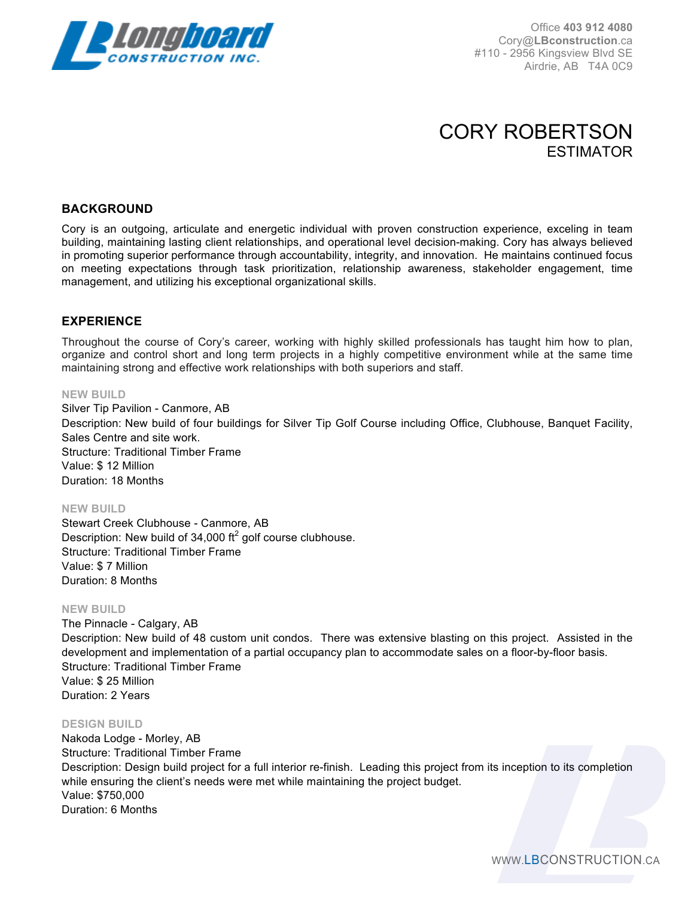

Office **403 912 4080** Cory@**LBconstruction**.ca #110 - 2956 Kingsview Blvd SE Airdrie, AB T4A 0C9

# CORY ROBERTSON ESTIMATOR

## **BACKGROUND**

Cory is an outgoing, articulate and energetic individual with proven construction experience, exceling in team building, maintaining lasting client relationships, and operational level decision-making. Cory has always believed in promoting superior performance through accountability, integrity, and innovation. He maintains continued focus on meeting expectations through task prioritization, relationship awareness, stakeholder engagement, time management, and utilizing his exceptional organizational skills.

### **EXPERIENCE**

Throughout the course of Cory's career, working with highly skilled professionals has taught him how to plan, organize and control short and long term projects in a highly competitive environment while at the same time maintaining strong and effective work relationships with both superiors and staff.

#### **NEW BUILD**

Silver Tip Pavilion - Canmore, AB Description: New build of four buildings for Silver Tip Golf Course including Office, Clubhouse, Banquet Facility, Sales Centre and site work. Structure: Traditional Timber Frame Value: \$ 12 Million Duration: 18 Months

#### **NEW BUILD**

Stewart Creek Clubhouse - Canmore, AB Description: New build of 34,000  $\text{ft}^2$  golf course clubhouse. Structure: Traditional Timber Frame Value: \$ 7 Million Duration: 8 Months

#### **NEW BUILD**

The Pinnacle - Calgary, AB Description: New build of 48 custom unit condos. There was extensive blasting on this project. Assisted in the development and implementation of a partial occupancy plan to accommodate sales on a floor-by-floor basis. Structure: Traditional Timber Frame Value: \$ 25 Million Duration: 2 Years

#### **DESIGN BUILD**

Nakoda Lodge - Morley, AB Structure: Traditional Timber Frame Description: Design build project for a full interior re-finish. Leading this project from its inception to its completion while ensuring the client's needs were met while maintaining the project budget. Value: \$750,000 Duration: 6 Months